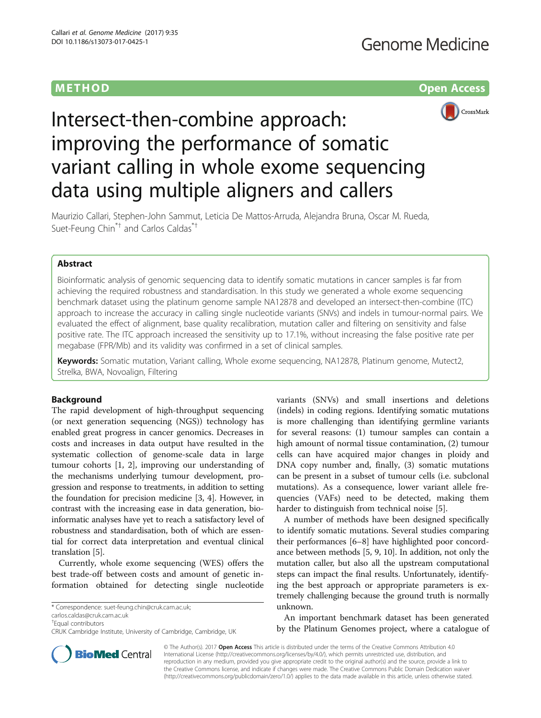### METHOD **Open Access** (No. 2004) **METHOD**



# Intersect-then-combine approach: improving the performance of somatic variant calling in whole exome sequencing data using multiple aligners and callers

Maurizio Callari, Stephen-John Sammut, Leticia De Mattos-Arruda, Alejandra Bruna, Oscar M. Rueda, Suet-Feung Chin\*† and Carlos Caldas\*†

#### Abstract

Bioinformatic analysis of genomic sequencing data to identify somatic mutations in cancer samples is far from achieving the required robustness and standardisation. In this study we generated a whole exome sequencing benchmark dataset using the platinum genome sample NA12878 and developed an intersect-then-combine (ITC) approach to increase the accuracy in calling single nucleotide variants (SNVs) and indels in tumour-normal pairs. We evaluated the effect of alignment, base quality recalibration, mutation caller and filtering on sensitivity and false positive rate. The ITC approach increased the sensitivity up to 17.1%, without increasing the false positive rate per megabase (FPR/Mb) and its validity was confirmed in a set of clinical samples.

Keywords: Somatic mutation, Variant calling, Whole exome sequencing, NA12878, Platinum genome, Mutect2, Strelka, BWA, Novoalign, Filtering

#### Background

The rapid development of high-throughput sequencing (or next generation sequencing (NGS)) technology has enabled great progress in cancer genomics. Decreases in costs and increases in data output have resulted in the systematic collection of genome-scale data in large tumour cohorts [[1, 2\]](#page-10-0), improving our understanding of the mechanisms underlying tumour development, progression and response to treatments, in addition to setting the foundation for precision medicine [[3, 4](#page-10-0)]. However, in contrast with the increasing ease in data generation, bioinformatic analyses have yet to reach a satisfactory level of robustness and standardisation, both of which are essential for correct data interpretation and eventual clinical translation [\[5](#page-10-0)].

Currently, whole exome sequencing (WES) offers the best trade-off between costs and amount of genetic information obtained for detecting single nucleotide

[carlos.caldas@cruk.cam.ac.uk](mailto:carlos.caldas@cruk.cam.ac.uk)

variants (SNVs) and small insertions and deletions (indels) in coding regions. Identifying somatic mutations is more challenging than identifying germline variants for several reasons: (1) tumour samples can contain a high amount of normal tissue contamination, (2) tumour cells can have acquired major changes in ploidy and DNA copy number and, finally, (3) somatic mutations can be present in a subset of tumour cells (i.e. subclonal mutations). As a consequence, lower variant allele frequencies (VAFs) need to be detected, making them harder to distinguish from technical noise [[5\]](#page-10-0).

A number of methods have been designed specifically to identify somatic mutations. Several studies comparing their performances [\[6](#page-10-0)–[8](#page-10-0)] have highlighted poor concordance between methods [[5](#page-10-0), [9](#page-10-0), [10\]](#page-10-0). In addition, not only the mutation caller, but also all the upstream computational steps can impact the final results. Unfortunately, identifying the best approach or appropriate parameters is extremely challenging because the ground truth is normally unknown.

An important benchmark dataset has been generated by the Platinum Genomes project, where a catalogue of



© The Author(s). 2017 **Open Access** This article is distributed under the terms of the Creative Commons Attribution 4.0 International License [\(http://creativecommons.org/licenses/by/4.0/](http://creativecommons.org/licenses/by/4.0/)), which permits unrestricted use, distribution, and reproduction in any medium, provided you give appropriate credit to the original author(s) and the source, provide a link to the Creative Commons license, and indicate if changes were made. The Creative Commons Public Domain Dedication waiver [\(http://creativecommons.org/publicdomain/zero/1.0/](http://creativecommons.org/publicdomain/zero/1.0/)) applies to the data made available in this article, unless otherwise stated.

<sup>\*</sup> Correspondence: [suet-feung.chin@cruk.cam.ac.uk;](mailto:suet-feung.chin@cruk.cam.ac.uk)

<sup>†</sup> Equal contributors

CRUK Cambridge Institute, University of Cambridge, Cambridge, UK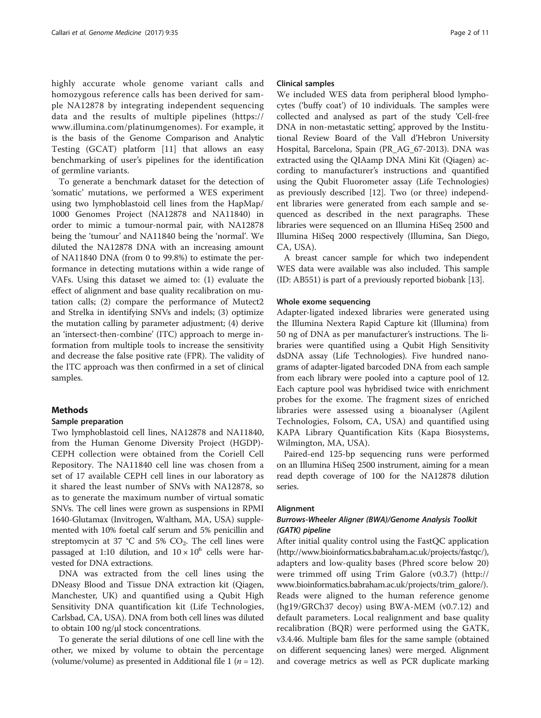<span id="page-1-0"></span>highly accurate whole genome variant calls and homozygous reference calls has been derived for sample NA12878 by integrating independent sequencing data and the results of multiple pipelines ([https://](https://www.illumina.com/platinumgenomes) [www.illumina.com/platinumgenomes](https://www.illumina.com/platinumgenomes)). For example, it is the basis of the Genome Comparison and Analytic Testing (GCAT) platform [\[11](#page-10-0)] that allows an easy benchmarking of user's pipelines for the identification of germline variants.

To generate a benchmark dataset for the detection of 'somatic' mutations, we performed a WES experiment using two lymphoblastoid cell lines from the HapMap/ 1000 Genomes Project (NA12878 and NA11840) in order to mimic a tumour-normal pair, with NA12878 being the 'tumour' and NA11840 being the 'normal'. We diluted the NA12878 DNA with an increasing amount of NA11840 DNA (from 0 to 99.8%) to estimate the performance in detecting mutations within a wide range of VAFs. Using this dataset we aimed to: (1) evaluate the effect of alignment and base quality recalibration on mutation calls; (2) compare the performance of Mutect2 and Strelka in identifying SNVs and indels; (3) optimize the mutation calling by parameter adjustment; (4) derive an 'intersect-then-combine' (ITC) approach to merge information from multiple tools to increase the sensitivity and decrease the false positive rate (FPR). The validity of the ITC approach was then confirmed in a set of clinical samples.

#### Methods

#### Sample preparation

Two lymphoblastoid cell lines, NA12878 and NA11840, from the Human Genome Diversity Project (HGDP)- CEPH collection were obtained from the Coriell Cell Repository. The NA11840 cell line was chosen from a set of 17 available CEPH cell lines in our laboratory as it shared the least number of SNVs with NA12878, so as to generate the maximum number of virtual somatic SNVs. The cell lines were grown as suspensions in RPMI 1640-Glutamax (Invitrogen, Waltham, MA, USA) supplemented with 10% foetal calf serum and 5% penicillin and streptomycin at 37 °C and 5%  $CO<sub>2</sub>$ . The cell lines were passaged at 1:10 dilution, and  $10 \times 10^6$  cells were harvested for DNA extractions.

DNA was extracted from the cell lines using the DNeasy Blood and Tissue DNA extraction kit (Qiagen, Manchester, UK) and quantified using a Qubit High Sensitivity DNA quantification kit (Life Technologies, Carlsbad, CA, USA). DNA from both cell lines was diluted to obtain 100 ng/μl stock concentrations.

To generate the serial dilutions of one cell line with the other, we mixed by volume to obtain the percentage (volume/volume) as presented in Additional file [1](#page-9-0) ( $n = 12$ ).

#### Clinical samples

We included WES data from peripheral blood lymphocytes ('buffy coat') of 10 individuals. The samples were collected and analysed as part of the study 'Cell-free DNA in non-metastatic setting', approved by the Institutional Review Board of the Vall d'Hebron University Hospital, Barcelona, Spain (PR\_AG\_67-2013). DNA was extracted using the QIAamp DNA Mini Kit (Qiagen) according to manufacturer's instructions and quantified using the Qubit Fluorometer assay (Life Technologies) as previously described [[12\]](#page-10-0). Two (or three) independent libraries were generated from each sample and sequenced as described in the next paragraphs. These libraries were sequenced on an Illumina HiSeq 2500 and Illumina HiSeq 2000 respectively (Illumina, San Diego, CA, USA).

A breast cancer sample for which two independent WES data were available was also included. This sample (ID: AB551) is part of a previously reported biobank [\[13](#page-10-0)].

#### Whole exome sequencing

Adapter-ligated indexed libraries were generated using the Illumina Nextera Rapid Capture kit (Illumina) from 50 ng of DNA as per manufacturer's instructions. The libraries were quantified using a Qubit High Sensitivity dsDNA assay (Life Technologies). Five hundred nanograms of adapter-ligated barcoded DNA from each sample from each library were pooled into a capture pool of 12. Each capture pool was hybridised twice with enrichment probes for the exome. The fragment sizes of enriched libraries were assessed using a bioanalyser (Agilent Technologies, Folsom, CA, USA) and quantified using KAPA Library Quantification Kits (Kapa Biosystems, Wilmington, MA, USA).

Paired-end 125-bp sequencing runs were performed on an Illumina HiSeq 2500 instrument, aiming for a mean read depth coverage of 100 for the NA12878 dilution series.

#### Alignment

## Burrows-Wheeler Aligner (BWA)/Genome Analysis Toolkit

After initial quality control using the FastQC application (<http://www.bioinformatics.babraham.ac.uk/projects/fastqc/>), adapters and low-quality bases (Phred score below 20) were trimmed off using Trim Galore (v0.3.7) ([http://](http://www.bioinformatics.babraham.ac.uk/projects/trim_galore/) [www.bioinformatics.babraham.ac.uk/projects/trim\\_galore/](http://www.bioinformatics.babraham.ac.uk/projects/trim_galore/)). Reads were aligned to the human reference genome (hg19/GRCh37 decoy) using BWA-MEM (v0.7.12) and default parameters. Local realignment and base quality recalibration (BQR) were performed using the GATK, v3.4.46. Multiple bam files for the same sample (obtained on different sequencing lanes) were merged. Alignment and coverage metrics as well as PCR duplicate marking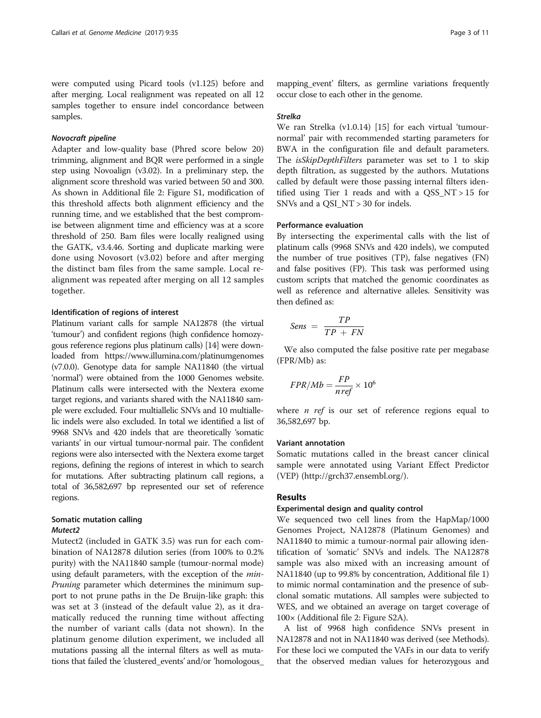were computed using Picard tools (v1.125) before and after merging. Local realignment was repeated on all 12 samples together to ensure indel concordance between samples.

Adapter and low-quality base (Phred score below 20) trimming, alignment and BQR were performed in a single step using Novoalign (v3.02). In a preliminary step, the alignment score threshold was varied between 50 and 300. As shown in Additional file [2:](#page-9-0) Figure S1, modification of this threshold affects both alignment efficiency and the running time, and we established that the best compromise between alignment time and efficiency was at a score threshold of 250. Bam files were locally realigned using the GATK, v3.4.46. Sorting and duplicate marking were done using Novosort (v3.02) before and after merging the distinct bam files from the same sample. Local realignment was repeated after merging on all 12 samples together.

#### Identification of regions of interest

Platinum variant calls for sample NA12878 (the virtual 'tumour') and confident regions (high confidence homozygous reference regions plus platinum calls) [\[14](#page-10-0)] were downloaded from<https://www.illumina.com/platinumgenomes> (v7.0.0). Genotype data for sample NA11840 (the virtual 'normal') were obtained from the 1000 Genomes website. Platinum calls were intersected with the Nextera exome target regions, and variants shared with the NA11840 sample were excluded. Four multiallelic SNVs and 10 multiallelic indels were also excluded. In total we identified a list of 9968 SNVs and 420 indels that are theoretically 'somatic variants' in our virtual tumour-normal pair. The confident regions were also intersected with the Nextera exome target regions, defining the regions of interest in which to search for mutations. After subtracting platinum call regions, a total of 36,582,697 bp represented our set of reference regions.

#### Somatic mutation calling Mutect<sub>2</sub>

Mutect2 Mutect2 (included in GATK 3.5) was run for each combination of NA12878 dilution series (from 100% to 0.2% purity) with the NA11840 sample (tumour-normal mode) using default parameters, with the exception of the min-Pruning parameter which determines the minimum support to not prune paths in the De Bruijn-like graph: this was set at 3 (instead of the default value 2), as it dramatically reduced the running time without affecting the number of variant calls (data not shown). In the platinum genome dilution experiment, we included all mutations passing all the internal filters as well as mutations that failed the 'clustered\_events' and/or 'homologous\_

mapping\_event' filters, as germline variations frequently occur close to each other in the genome.

#### Strelka

We ran Strelka (v1.0.14) [[15\]](#page-10-0) for each virtual 'tumournormal' pair with recommended starting parameters for BWA in the configuration file and default parameters. The *isSkipDepthFilters* parameter was set to 1 to skip depth filtration, as suggested by the authors. Mutations called by default were those passing internal filters identified using Tier 1 reads and with a QSS\_NT > 15 for SNVs and a QSI\_NT > 30 for indels.

#### Performance evaluation

By intersecting the experimental calls with the list of platinum calls (9968 SNVs and 420 indels), we computed the number of true positives (TP), false negatives (FN) and false positives (FP). This task was performed using custom scripts that matched the genomic coordinates as well as reference and alternative alleles. Sensitivity was then defined as:

$$
Sens = \frac{TP}{TP + FN}
$$

We also computed the false positive rate per megabase (FPR/Mb) as:

$$
FPR/Mb = \frac{FP}{n\,ref} \times 10^6
$$

where  $n$  ref is our set of reference regions equal to 36,582,697 bp.

#### Variant annotation

Somatic mutations called in the breast cancer clinical sample were annotated using Variant Effect Predictor (VEP) [\(http://grch37.ensembl.org/](http://grch37.ensembl.org/)).

#### Results

#### Experimental design and quality control

We sequenced two cell lines from the HapMap/1000 Genomes Project, NA12878 (Platinum Genomes) and NA11840 to mimic a tumour-normal pair allowing identification of 'somatic' SNVs and indels. The NA12878 sample was also mixed with an increasing amount of NA11840 (up to 99.8% by concentration, Additional file [1](#page-9-0)) to mimic normal contamination and the presence of subclonal somatic mutations. All samples were subjected to WES, and we obtained an average on target coverage of 100× (Additional file [2](#page-9-0): Figure S2A).

A list of 9968 high confidence SNVs present in NA12878 and not in NA11840 was derived (see [Methods](#page-1-0)). For these loci we computed the VAFs in our data to verify that the observed median values for heterozygous and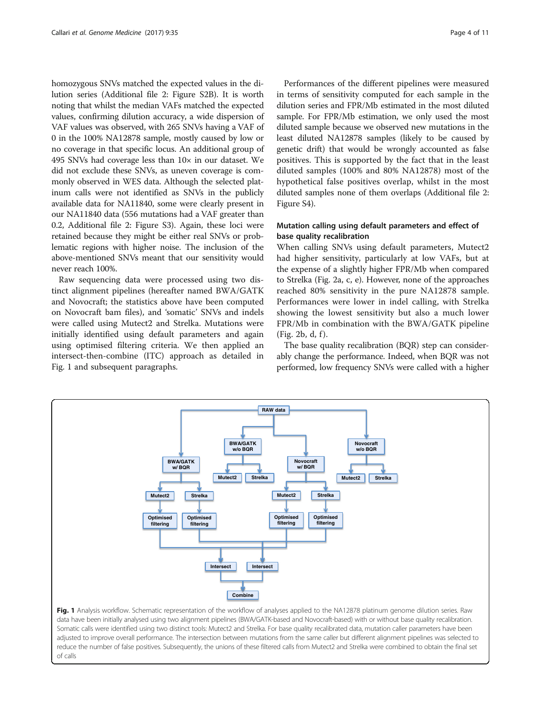<span id="page-3-0"></span>homozygous SNVs matched the expected values in the dilution series (Additional file [2](#page-9-0): Figure S2B). It is worth noting that whilst the median VAFs matched the expected values, confirming dilution accuracy, a wide dispersion of VAF values was observed, with 265 SNVs having a VAF of 0 in the 100% NA12878 sample, mostly caused by low or no coverage in that specific locus. An additional group of 495 SNVs had coverage less than  $10\times$  in our dataset. We did not exclude these SNVs, as uneven coverage is commonly observed in WES data. Although the selected platinum calls were not identified as SNVs in the publicly available data for NA11840, some were clearly present in our NA11840 data (556 mutations had a VAF greater than 0.2, Additional file [2:](#page-9-0) Figure S3). Again, these loci were retained because they might be either real SNVs or problematic regions with higher noise. The inclusion of the above-mentioned SNVs meant that our sensitivity would never reach 100%.

Raw sequencing data were processed using two distinct alignment pipelines (hereafter named BWA/GATK and Novocraft; the statistics above have been computed on Novocraft bam files), and 'somatic' SNVs and indels were called using Mutect2 and Strelka. Mutations were initially identified using default parameters and again using optimised filtering criteria. We then applied an intersect-then-combine (ITC) approach as detailed in Fig. 1 and subsequent paragraphs.

Performances of the different pipelines were measured in terms of sensitivity computed for each sample in the dilution series and FPR/Mb estimated in the most diluted sample. For FPR/Mb estimation, we only used the most diluted sample because we observed new mutations in the least diluted NA12878 samples (likely to be caused by genetic drift) that would be wrongly accounted as false positives. This is supported by the fact that in the least diluted samples (100% and 80% NA12878) most of the hypothetical false positives overlap, whilst in the most diluted samples none of them overlaps (Additional file [2](#page-9-0): Figure S4).

#### Mutation calling using default parameters and effect of base quality recalibration

When calling SNVs using default parameters, Mutect2 had higher sensitivity, particularly at low VAFs, but at the expense of a slightly higher FPR/Mb when compared to Strelka (Fig. [2a, c, e](#page-4-0)). However, none of the approaches reached 80% sensitivity in the pure NA12878 sample. Performances were lower in indel calling, with Strelka showing the lowest sensitivity but also a much lower FPR/Mb in combination with the BWA/GATK pipeline  $(Fig. 2b, d, f)$  $(Fig. 2b, d, f)$  $(Fig. 2b, d, f)$ .

The base quality recalibration (BQR) step can considerably change the performance. Indeed, when BQR was not performed, low frequency SNVs were called with a higher



Fig. 1 Analysis workflow. Schematic representation of the workflow of analyses applied to the NA12878 platinum genome dilution series. Raw data have been initially analysed using two alignment pipelines (BWA/GATK-based and Novocraft-based) with or without base quality recalibration. Somatic calls were identified using two distinct tools: Mutect2 and Strelka. For base quality recalibrated data, mutation caller parameters have been adjusted to improve overall performance. The intersection between mutations from the same caller but different alignment pipelines was selected to reduce the number of false positives. Subsequently, the unions of these filtered calls from Mutect2 and Strelka were combined to obtain the final set of calls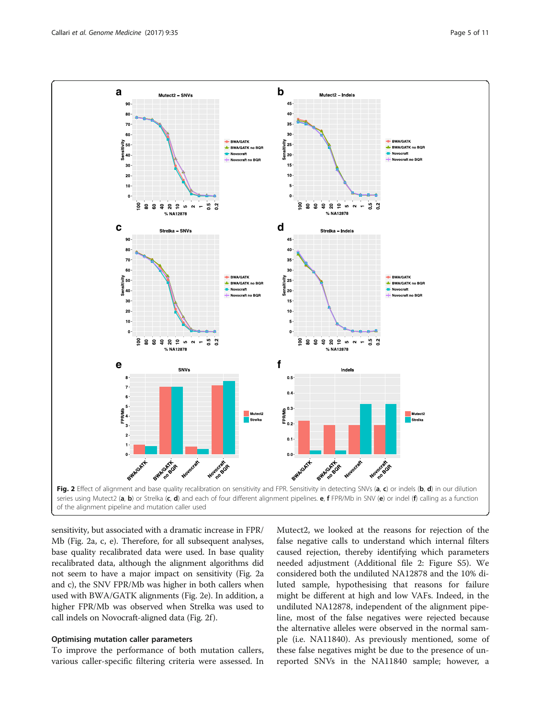<span id="page-4-0"></span>

of the alignment pipeline and mutation caller used

sensitivity, but associated with a dramatic increase in FPR/ Mb (Fig. 2a, c, e). Therefore, for all subsequent analyses, base quality recalibrated data were used. In base quality recalibrated data, although the alignment algorithms did not seem to have a major impact on sensitivity (Fig. 2a and c), the SNV FPR/Mb was higher in both callers when used with BWA/GATK alignments (Fig. 2e). In addition, a higher FPR/Mb was observed when Strelka was used to call indels on Novocraft-aligned data (Fig. 2f ).

#### Optimising mutation caller parameters

To improve the performance of both mutation callers, various caller-specific filtering criteria were assessed. In

Mutect2, we looked at the reasons for rejection of the false negative calls to understand which internal filters caused rejection, thereby identifying which parameters needed adjustment (Additional file [2:](#page-9-0) Figure S5). We considered both the undiluted NA12878 and the 10% diluted sample, hypothesising that reasons for failure might be different at high and low VAFs. Indeed, in the undiluted NA12878, independent of the alignment pipeline, most of the false negatives were rejected because the alternative alleles were observed in the normal sample (i.e. NA11840). As previously mentioned, some of these false negatives might be due to the presence of unreported SNVs in the NA11840 sample; however, a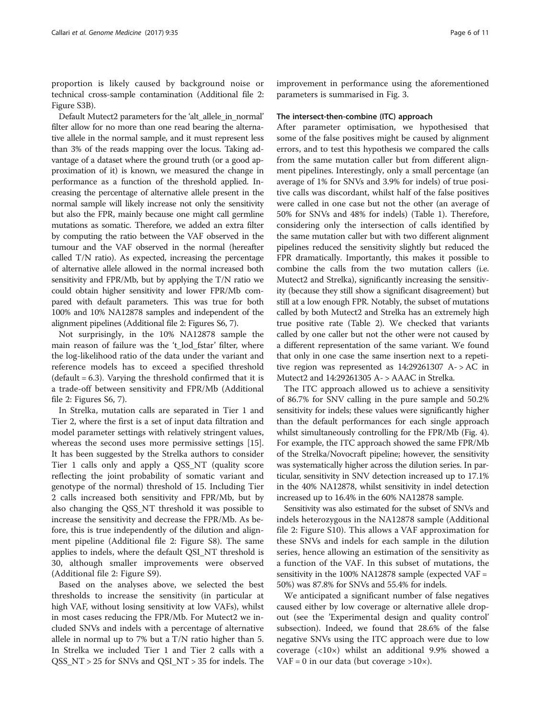proportion is likely caused by background noise or technical cross-sample contamination (Additional file [2](#page-9-0): Figure S3B).

Default Mutect2 parameters for the 'alt\_allele\_in\_normal' filter allow for no more than one read bearing the alternative allele in the normal sample, and it must represent less than 3% of the reads mapping over the locus. Taking advantage of a dataset where the ground truth (or a good approximation of it) is known, we measured the change in performance as a function of the threshold applied. Increasing the percentage of alternative allele present in the normal sample will likely increase not only the sensitivity but also the FPR, mainly because one might call germline mutations as somatic. Therefore, we added an extra filter by computing the ratio between the VAF observed in the tumour and the VAF observed in the normal (hereafter called T/N ratio). As expected, increasing the percentage of alternative allele allowed in the normal increased both sensitivity and FPR/Mb, but by applying the T/N ratio we could obtain higher sensitivity and lower FPR/Mb compared with default parameters. This was true for both 100% and 10% NA12878 samples and independent of the alignment pipelines (Additional file [2:](#page-9-0) Figures S6, 7).

Not surprisingly, in the 10% NA12878 sample the main reason of failure was the 't\_lod\_fstar' filter, where the log-likelihood ratio of the data under the variant and reference models has to exceed a specified threshold  $(default = 6.3)$ . Varying the threshold confirmed that it is a trade-off between sensitivity and FPR/Mb (Additional file [2:](#page-9-0) Figures S6, 7).

In Strelka, mutation calls are separated in Tier 1 and Tier 2, where the first is a set of input data filtration and model parameter settings with relatively stringent values, whereas the second uses more permissive settings [\[15](#page-10-0)]. It has been suggested by the Strelka authors to consider Tier 1 calls only and apply a QSS\_NT (quality score reflecting the joint probability of somatic variant and genotype of the normal) threshold of 15. Including Tier 2 calls increased both sensitivity and FPR/Mb, but by also changing the QSS\_NT threshold it was possible to increase the sensitivity and decrease the FPR/Mb. As before, this is true independently of the dilution and alignment pipeline (Additional file [2](#page-9-0): Figure S8). The same applies to indels, where the default QSI\_NT threshold is 30, although smaller improvements were observed (Additional file [2:](#page-9-0) Figure S9).

Based on the analyses above, we selected the best thresholds to increase the sensitivity (in particular at high VAF, without losing sensitivity at low VAFs), whilst in most cases reducing the FPR/Mb. For Mutect2 we included SNVs and indels with a percentage of alternative allele in normal up to 7% but a T/N ratio higher than 5. In Strelka we included Tier 1 and Tier 2 calls with a QSS\_NT > 25 for SNVs and QSI\_NT > 35 for indels. The

improvement in performance using the aforementioned parameters is summarised in Fig. [3.](#page-6-0)

#### The intersect-then-combine (ITC) approach

After parameter optimisation, we hypothesised that some of the false positives might be caused by alignment errors, and to test this hypothesis we compared the calls from the same mutation caller but from different alignment pipelines. Interestingly, only a small percentage (an average of 1% for SNVs and 3.9% for indels) of true positive calls was discordant, whilst half of the false positives were called in one case but not the other (an average of 50% for SNVs and 48% for indels) (Table [1\)](#page-6-0). Therefore, considering only the intersection of calls identified by the same mutation caller but with two different alignment pipelines reduced the sensitivity slightly but reduced the FPR dramatically. Importantly, this makes it possible to combine the calls from the two mutation callers (i.e. Mutect2 and Strelka), significantly increasing the sensitivity (because they still show a significant disagreement) but still at a low enough FPR. Notably, the subset of mutations called by both Mutect2 and Strelka has an extremely high true positive rate (Table [2](#page-7-0)). We checked that variants called by one caller but not the other were not caused by a different representation of the same variant. We found that only in one case the same insertion next to a repetitive region was represented as  $14:29261307$  A- $>AC$  in Mutect2 and 14:29261305 A- > AAAC in Strelka.

The ITC approach allowed us to achieve a sensitivity of 86.7% for SNV calling in the pure sample and 50.2% sensitivity for indels; these values were significantly higher than the default performances for each single approach whilst simultaneously controlling for the FPR/Mb (Fig. [4](#page-7-0)). For example, the ITC approach showed the same FPR/Mb of the Strelka/Novocraft pipeline; however, the sensitivity was systematically higher across the dilution series. In particular, sensitivity in SNV detection increased up to 17.1% in the 40% NA12878, whilst sensitivity in indel detection increased up to 16.4% in the 60% NA12878 sample.

Sensitivity was also estimated for the subset of SNVs and indels heterozygous in the NA12878 sample (Additional file [2:](#page-9-0) Figure S10). This allows a VAF approximation for these SNVs and indels for each sample in the dilution series, hence allowing an estimation of the sensitivity as a function of the VAF. In this subset of mutations, the sensitivity in the 100% NA12878 sample (expected VAF = 50%) was 87.8% for SNVs and 55.4% for indels.

We anticipated a significant number of false negatives caused either by low coverage or alternative allele dropout (see the 'Experimental design and quality control' subsection). Indeed, we found that 28.6% of the false negative SNVs using the ITC approach were due to low coverage (<10×) whilst an additional 9.9% showed a VAF = 0 in our data (but coverage  $>10\times$ ).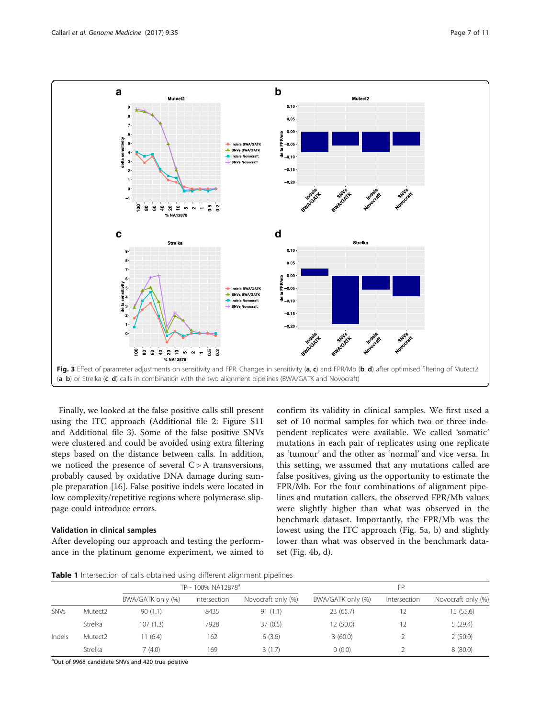<span id="page-6-0"></span>

Finally, we looked at the false positive calls still present using the ITC approach (Additional file [2](#page-9-0): Figure S11 and Additional file [3\)](#page-9-0). Some of the false positive SNVs were clustered and could be avoided using extra filtering steps based on the distance between calls. In addition, we noticed the presence of several  $C > A$  transversions, probably caused by oxidative DNA damage during sample preparation [\[16](#page-10-0)]. False positive indels were located in low complexity/repetitive regions where polymerase slippage could introduce errors.

#### Validation in clinical samples

After developing our approach and testing the performance in the platinum genome experiment, we aimed to confirm its validity in clinical samples. We first used a set of 10 normal samples for which two or three independent replicates were available. We called 'somatic' mutations in each pair of replicates using one replicate as 'tumour' and the other as 'normal' and vice versa. In this setting, we assumed that any mutations called are false positives, giving us the opportunity to estimate the FPR/Mb. For the four combinations of alignment pipelines and mutation callers, the observed FPR/Mb values were slightly higher than what was observed in the benchmark dataset. Importantly, the FPR/Mb was the lowest using the ITC approach (Fig. [5a, b\)](#page-8-0) and slightly lower than what was observed in the benchmark dataset (Fig. [4b, d](#page-7-0)).

Table 1 Intersection of calls obtained using different alignment pipelines

|             |         | TP - 100% NA12878 <sup>a</sup> |              |                    | FP                |              |                    |
|-------------|---------|--------------------------------|--------------|--------------------|-------------------|--------------|--------------------|
|             |         | BWA/GATK only (%)              | Intersection | Novocraft only (%) | BWA/GATK only (%) | Intersection | Novocraft only (%) |
| <b>SNVs</b> | Mutect2 | 90(1.1)                        | 8435         | 91(1.1)            | 23(65.7)          | 12           | 15(55.6)           |
|             | Strelka | 107(1.3)                       | 7928         | 37(0.5)            | 12(50.0)          | 12           | 5(29.4)            |
| Indels      | Mutect2 | 11 (6.4)                       | 162          | 6(3.6)             | 3(60.0)           |              | 2(50.0)            |
|             | Strelka | 7(4.0)                         | 169          | 3(1.7)             | (0.0)             |              | 8(80.0)            |

<sup>a</sup>Out of 9968 candidate SNVs and 420 true positive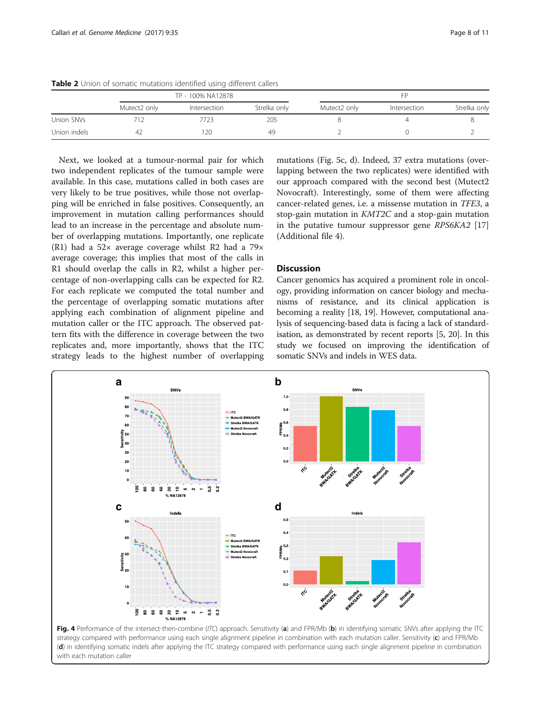|              |              | TP - 100% NA12878 |              | FP           |              |              |
|--------------|--------------|-------------------|--------------|--------------|--------------|--------------|
|              | Mutect2 only | Intersection      | Strelka only | Mutect2 only | Intersection | Strelka only |
| Union SNVs   |              | 723               | 205          |              |              |              |
| Union indels | 47           | 120               | 49           |              |              |              |

<span id="page-7-0"></span>Table 2 Union of somatic mutations identified using different callers

Next, we looked at a tumour-normal pair for which two independent replicates of the tumour sample were available. In this case, mutations called in both cases are very likely to be true positives, while those not overlapping will be enriched in false positives. Consequently, an improvement in mutation calling performances should lead to an increase in the percentage and absolute number of overlapping mutations. Importantly, one replicate (R1) had a 52× average coverage whilst R2 had a 79× average coverage; this implies that most of the calls in R1 should overlap the calls in R2, whilst a higher percentage of non-overlapping calls can be expected for R2. For each replicate we computed the total number and the percentage of overlapping somatic mutations after applying each combination of alignment pipeline and mutation caller or the ITC approach. The observed pattern fits with the difference in coverage between the two replicates and, more importantly, shows that the ITC strategy leads to the highest number of overlapping

mutations (Fig. [5c, d\)](#page-8-0). Indeed, 37 extra mutations (overlapping between the two replicates) were identified with our approach compared with the second best (Mutect2 Novocraft). Interestingly, some of them were affecting cancer-related genes, i.e. a missense mutation in TFE3, a stop-gain mutation in KMT2C and a stop-gain mutation in the putative tumour suppressor gene RPS6KA2 [[17](#page-10-0)] (Additional file [4](#page-9-0)).

#### **Discussion**

Cancer genomics has acquired a prominent role in oncology, providing information on cancer biology and mechanisms of resistance, and its clinical application is becoming a reality [\[18, 19\]](#page-10-0). However, computational analysis of sequencing-based data is facing a lack of standardisation, as demonstrated by recent reports [\[5](#page-10-0), [20](#page-10-0)]. In this study we focused on improving the identification of somatic SNVs and indels in WES data.



strategy compared with performance using each single alignment pipeline in combination with each mutation caller. Sensitivity (c) and FPR/Mb (d) in identifying somatic indels after applying the ITC strategy compared with performance using each single alignment pipeline in combination with each mutation caller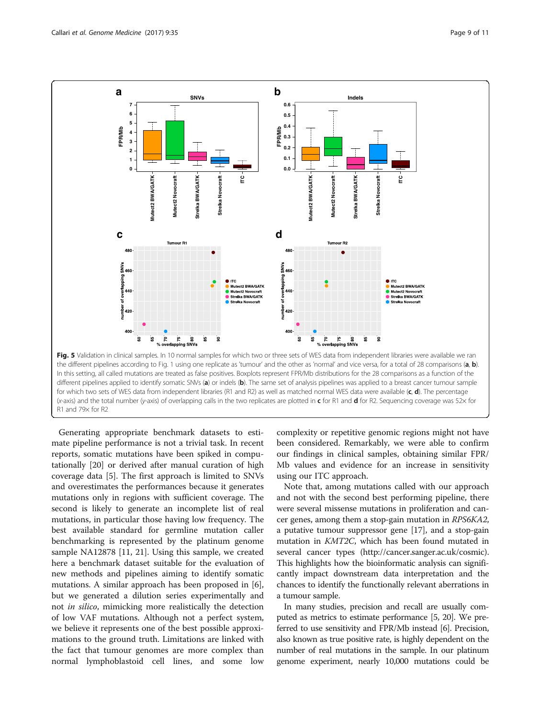<span id="page-8-0"></span>

Generating appropriate benchmark datasets to estimate pipeline performance is not a trivial task. In recent reports, somatic mutations have been spiked in computationally [[20](#page-10-0)] or derived after manual curation of high coverage data [[5\]](#page-10-0). The first approach is limited to SNVs and overestimates the performances because it generates mutations only in regions with sufficient coverage. The second is likely to generate an incomplete list of real mutations, in particular those having low frequency. The best available standard for germline mutation caller benchmarking is represented by the platinum genome sample NA12878 [[11, 21\]](#page-10-0). Using this sample, we created here a benchmark dataset suitable for the evaluation of new methods and pipelines aiming to identify somatic mutations. A similar approach has been proposed in [\[6](#page-10-0)], but we generated a dilution series experimentally and not in silico, mimicking more realistically the detection of low VAF mutations. Although not a perfect system, we believe it represents one of the best possible approximations to the ground truth. Limitations are linked with the fact that tumour genomes are more complex than normal lymphoblastoid cell lines, and some low complexity or repetitive genomic regions might not have been considered. Remarkably, we were able to confirm our findings in clinical samples, obtaining similar FPR/ Mb values and evidence for an increase in sensitivity using our ITC approach.

Note that, among mutations called with our approach and not with the second best performing pipeline, there were several missense mutations in proliferation and cancer genes, among them a stop-gain mutation in RPS6KA2, a putative tumour suppressor gene [[17](#page-10-0)], and a stop-gain mutation in KMT2C, which has been found mutated in several cancer types (<http://cancer.sanger.ac.uk/cosmic>). This highlights how the bioinformatic analysis can significantly impact downstream data interpretation and the chances to identify the functionally relevant aberrations in a tumour sample.

In many studies, precision and recall are usually computed as metrics to estimate performance [\[5, 20\]](#page-10-0). We preferred to use sensitivity and FPR/Mb instead [[6](#page-10-0)]. Precision, also known as true positive rate, is highly dependent on the number of real mutations in the sample. In our platinum genome experiment, nearly 10,000 mutations could be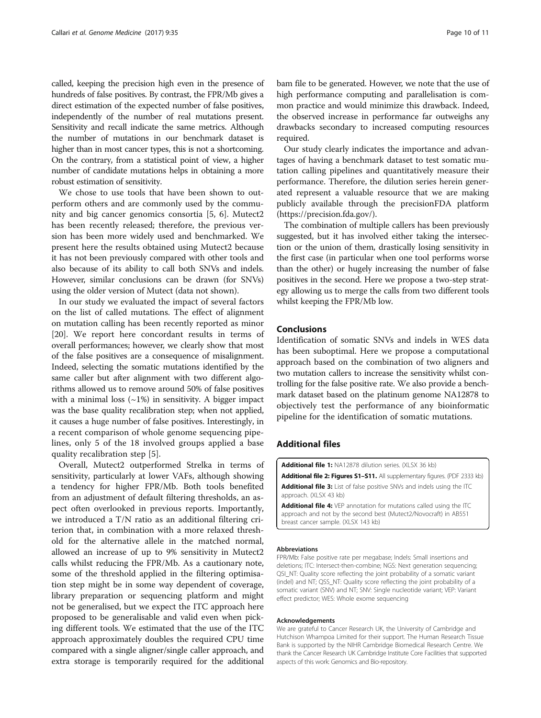<span id="page-9-0"></span>called, keeping the precision high even in the presence of hundreds of false positives. By contrast, the FPR/Mb gives a direct estimation of the expected number of false positives, independently of the number of real mutations present. Sensitivity and recall indicate the same metrics. Although the number of mutations in our benchmark dataset is higher than in most cancer types, this is not a shortcoming. On the contrary, from a statistical point of view, a higher number of candidate mutations helps in obtaining a more robust estimation of sensitivity.

We chose to use tools that have been shown to outperform others and are commonly used by the community and big cancer genomics consortia [\[5](#page-10-0), [6\]](#page-10-0). Mutect2 has been recently released; therefore, the previous version has been more widely used and benchmarked. We present here the results obtained using Mutect2 because it has not been previously compared with other tools and also because of its ability to call both SNVs and indels. However, similar conclusions can be drawn (for SNVs) using the older version of Mutect (data not shown).

In our study we evaluated the impact of several factors on the list of called mutations. The effect of alignment on mutation calling has been recently reported as minor [[20\]](#page-10-0). We report here concordant results in terms of overall performances; however, we clearly show that most of the false positives are a consequence of misalignment. Indeed, selecting the somatic mutations identified by the same caller but after alignment with two different algorithms allowed us to remove around 50% of false positives with a minimal loss  $(\sim 1\%)$  in sensitivity. A bigger impact was the base quality recalibration step; when not applied, it causes a huge number of false positives. Interestingly, in a recent comparison of whole genome sequencing pipelines, only 5 of the 18 involved groups applied a base quality recalibration step [[5\]](#page-10-0).

Overall, Mutect2 outperformed Strelka in terms of sensitivity, particularly at lower VAFs, although showing a tendency for higher FPR/Mb. Both tools benefited from an adjustment of default filtering thresholds, an aspect often overlooked in previous reports. Importantly, we introduced a T/N ratio as an additional filtering criterion that, in combination with a more relaxed threshold for the alternative allele in the matched normal, allowed an increase of up to 9% sensitivity in Mutect2 calls whilst reducing the FPR/Mb. As a cautionary note, some of the threshold applied in the filtering optimisation step might be in some way dependent of coverage, library preparation or sequencing platform and might not be generalised, but we expect the ITC approach here proposed to be generalisable and valid even when picking different tools. We estimated that the use of the ITC approach approximately doubles the required CPU time compared with a single aligner/single caller approach, and extra storage is temporarily required for the additional

bam file to be generated. However, we note that the use of high performance computing and parallelisation is common practice and would minimize this drawback. Indeed, the observed increase in performance far outweighs any drawbacks secondary to increased computing resources required.

Our study clearly indicates the importance and advantages of having a benchmark dataset to test somatic mutation calling pipelines and quantitatively measure their performance. Therefore, the dilution series herein generated represent a valuable resource that we are making publicly available through the precisionFDA platform ([https://precision.fda.gov/\)](https://precision.fda.gov/).

The combination of multiple callers has been previously suggested, but it has involved either taking the intersection or the union of them, drastically losing sensitivity in the first case (in particular when one tool performs worse than the other) or hugely increasing the number of false positives in the second. Here we propose a two-step strategy allowing us to merge the calls from two different tools whilst keeping the FPR/Mb low.

#### Conclusions

Identification of somatic SNVs and indels in WES data has been suboptimal. Here we propose a computational approach based on the combination of two aligners and two mutation callers to increase the sensitivity whilst controlling for the false positive rate. We also provide a benchmark dataset based on the platinum genome NA12878 to objectively test the performance of any bioinformatic pipeline for the identification of somatic mutations.

#### Additional files

[Additional file 1:](dx.doi.org/10.1186/s13073-017-0425-1) NA12878 dilution series. (XLSX 36 kb)

[Additional file 2: Figures S1](dx.doi.org/10.1186/s13073-017-0425-1)-S11. All supplementary figures. (PDF 2333 kb)

[Additional file 3:](dx.doi.org/10.1186/s13073-017-0425-1) List of false positive SNVs and indels using the ITC approach. (XLSX 43 kb)

[Additional file 4:](dx.doi.org/10.1186/s13073-017-0425-1) VEP annotation for mutations called using the ITC approach and not by the second best (Mutect2/Novocraft) in AB551 breast cancer sample. (XLSX 143 kb)

#### Abbreviations

FPR/Mb: False positive rate per megabase; Indels: Small insertions and deletions; ITC: Intersect-then-combine; NGS: Next generation sequencing; QSI\_NT: Quality score reflecting the joint probability of a somatic variant (indel) and NT; QSS\_NT: Quality score reflecting the joint probability of a somatic variant (SNV) and NT; SNV: Single nucleotide variant; VEP: Variant effect predictor; WES: Whole exome sequencing

#### Acknowledgements

We are grateful to Cancer Research UK, the University of Cambridge and Hutchison Whampoa Limited for their support. The Human Research Tissue Bank is supported by the NIHR Cambridge Biomedical Research Centre. We thank the Cancer Research UK Cambridge Institute Core Facilities that supported aspects of this work: Genomics and Bio-repository.